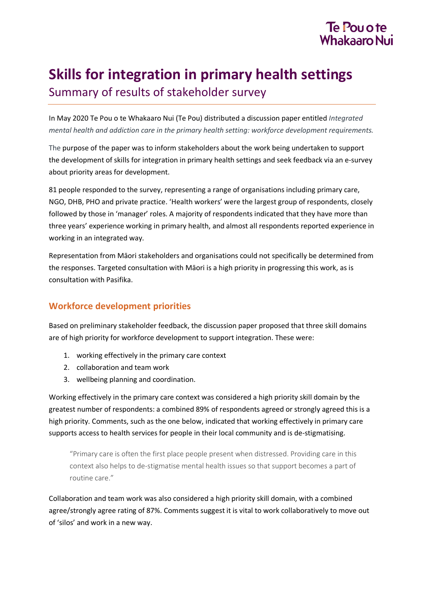

# **Skills for integration in primary health settings** Summary of results of stakeholder survey

In May 2020 Te Pou o te Whakaaro Nui (Te Pou) distributed a discussion paper entitled *Integrated mental health and addiction care in the primary health setting: workforce development requirements.*

The purpose of the paper was to inform stakeholders about the work being undertaken to support the development of skills for integration in primary health settings and seek feedback via an e-survey about priority areas for development.

81 people responded to the survey, representing a range of organisations including primary care, NGO, DHB, PHO and private practice. 'Health workers' were the largest group of respondents, closely followed by those in 'manager' roles. A majority of respondents indicated that they have more than three years' experience working in primary health, and almost all respondents reported experience in working in an integrated way.

Representation from Māori stakeholders and organisations could not specifically be determined from the responses. Targeted consultation with Māori is a high priority in progressing this work, as is consultation with Pasifika.

### **Workforce development priorities**

Based on preliminary stakeholder feedback, the discussion paper proposed that three skill domains are of high priority for workforce development to support integration. These were:

- 1. working effectively in the primary care context
- 2. collaboration and team work
- 3. wellbeing planning and coordination.

Working effectively in the primary care context was considered a high priority skill domain by the greatest number of respondents: a combined 89% of respondents agreed or strongly agreed this is a high priority. Comments, such as the one below, indicated that working effectively in primary care supports access to health services for people in their local community and is de-stigmatising.

"Primary care is often the first place people present when distressed. Providing care in this context also helps to de-stigmatise mental health issues so that support becomes a part of routine care."

Collaboration and team work was also considered a high priority skill domain, with a combined agree/strongly agree rating of 87%. Comments suggest it is vital to work collaboratively to move out of 'silos' and work in a new way.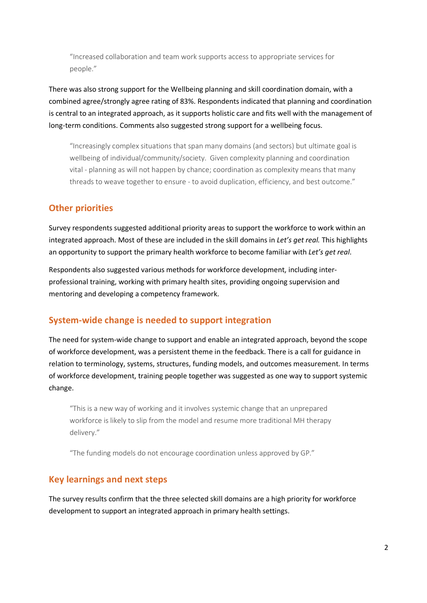"Increased collaboration and team work supports access to appropriate services for people."

There was also strong support for the Wellbeing planning and skill coordination domain, with a combined agree/strongly agree rating of 83%. Respondents indicated that planning and coordination is central to an integrated approach, as it supports holistic care and fits well with the management of long-term conditions. Comments also suggested strong support for a wellbeing focus.

"Increasingly complex situations that span many domains (and sectors) but ultimate goal is wellbeing of individual/community/society. Given complexity planning and coordination vital - planning as will not happen by chance; coordination as complexity means that many threads to weave together to ensure - to avoid duplication, efficiency, and best outcome."

#### **Other priorities**

Survey respondents suggested additional priority areas to support the workforce to work within an integrated approach. Most of these are included in the skill domains in *Let's get real.* This highlights an opportunity to support the primary health workforce to become familiar with *Let's get real*.

Respondents also suggested various methods for workforce development, including interprofessional training, working with primary health sites, providing ongoing supervision and mentoring and developing a competency framework.

## **System-wide change is needed to support integration**

The need for system-wide change to support and enable an integrated approach, beyond the scope of workforce development, was a persistent theme in the feedback. There is a call for guidance in relation to terminology, systems, structures, funding models, and outcomes measurement. In terms of workforce development, training people together was suggested as one way to support systemic change.

"This is a new way of working and it involves systemic change that an unprepared workforce is likely to slip from the model and resume more traditional MH therapy delivery."

"The funding models do not encourage coordination unless approved by GP."

## **Key learnings and next steps**

The survey results confirm that the three selected skill domains are a high priority for workforce development to support an integrated approach in primary health settings.